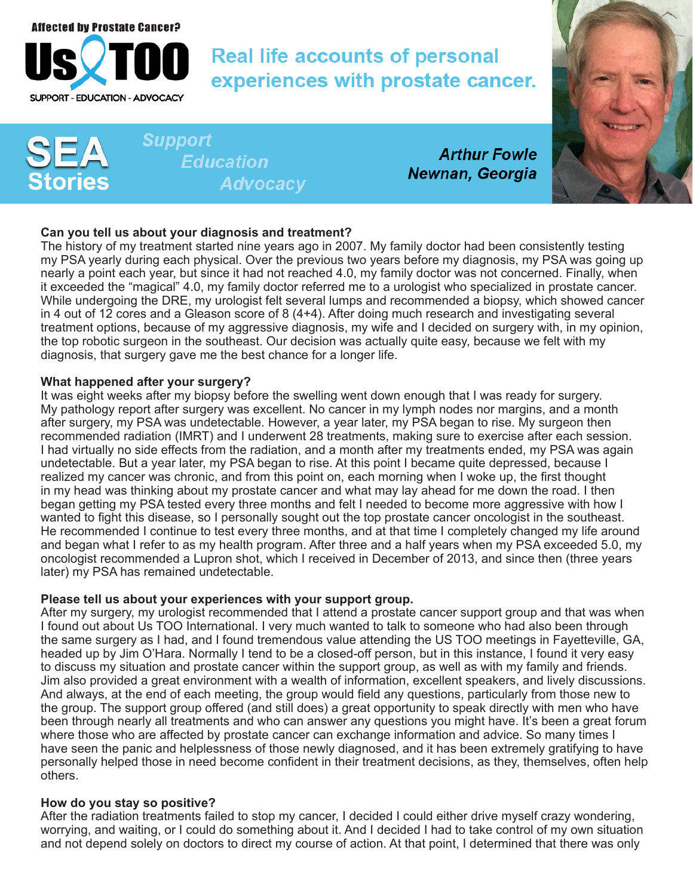

# **Real life accounts of personal** experiences with prostate cancer.

**Support Education Advocacy** 

**Arthur Fowle** Newnan, Georgia



# **Can you tell us about your diagnosis and treatment?**

The history of my treatment started nine years ago in 2007. My family doctor had been consistently testing my PSA yearly during each physical. Over the previous two years before my diagnosis, my PSA was going up nearly a point each year, but since it had not reached 4.0, my family doctor was not concerned. Finally, when it exceeded the "magical" 4.0, my family doctor referred me to a urologist who specialized in prostate cancer. While undergoing the DRE, my urologist felt several lumps and recommended a biopsy, which showed cancer in 4 out of 12 cores and a Gleason score of 8 (4+4). After doing much research and investigating several treatment options, because of my aggressive diagnosis, my wife and I decided on surgery with, in my opinion, the top robotic surgeon in the southeast. Our decision was actually quite easy, because we felt with my diagnosis, that surgery gave me the best chance for a longer life.

### **What happened after your surgery?**

It was eight weeks after my biopsy before the swelling went down enough that I was ready for surgery. My pathology report after surgery was excellent. No cancer in my lymph nodes nor margins, and a month after surgery, my PSA was undetectable. However, a year later, my PSA began to rise. My surgeon then recommended radiation (IMRT) and I underwent 28 treatments, making sure to exercise after each session. I had virtually no side effects from the radiation, and a month after my treatments ended, my PSA was again undetectable. But a year later, my PSA began to rise. At this point I became quite depressed, because I realized my cancer was chronic, and from this point on, each morning when I woke up, the first thought in my head was thinking about my prostate cancer and what may lay ahead for me down the road. I then began getting my PSA tested every three months and felt I needed to become more aggressive with how I wanted to fight this disease, so I personally sought out the top prostate cancer oncologist in the southeast. He recommended I continue to test every three months, and at that time I completely changed my life around and began what I refer to as my health program. After three and a half years when my PSA exceeded 5.0, my oncologist recommended a Lupron shot, which I received in December of 2013, and since then (three years later) my PSA has remained undetectable.

## **Please tell us about your experiences with your support group.**

After my surgery, my urologist recommended that I attend a prostate cancer support group and that was when I found out about Us TOO International. I very much wanted to talk to someone who had also been through the same surgery as I had, and I found tremendous value attending the US TOO meetings in Fayetteville, GA, headed up by Jim O'Hara. Normally I tend to be a closed-off person, but in this instance, I found it very easy to discuss my situation and prostate cancer within the support group, as well as with my family and friends. Jim also provided a great environment with a wealth of information, excellent speakers, and lively discussions. And always, at the end of each meeting, the group would field any questions, particularly from those new to the group. The support group offered (and still does) a great opportunity to speak directly with men who have been through nearly all treatments and who can answer any questions you might have. It's been a great forum where those who are affected by prostate cancer can exchange information and advice. So many times I have seen the panic and helplessness of those newly diagnosed, and it has been extremely gratifying to have personally helped those in need become confident in their treatment decisions, as they, themselves, often help others.

#### **How do you stay so positive?**

After the radiation treatments failed to stop my cancer, I decided I could either drive myself crazy wondering, worrying, and waiting, or I could do something about it. And I decided I had to take control of my own situation and not depend solely on doctors to direct my course of action. At that point, I determined that there was only